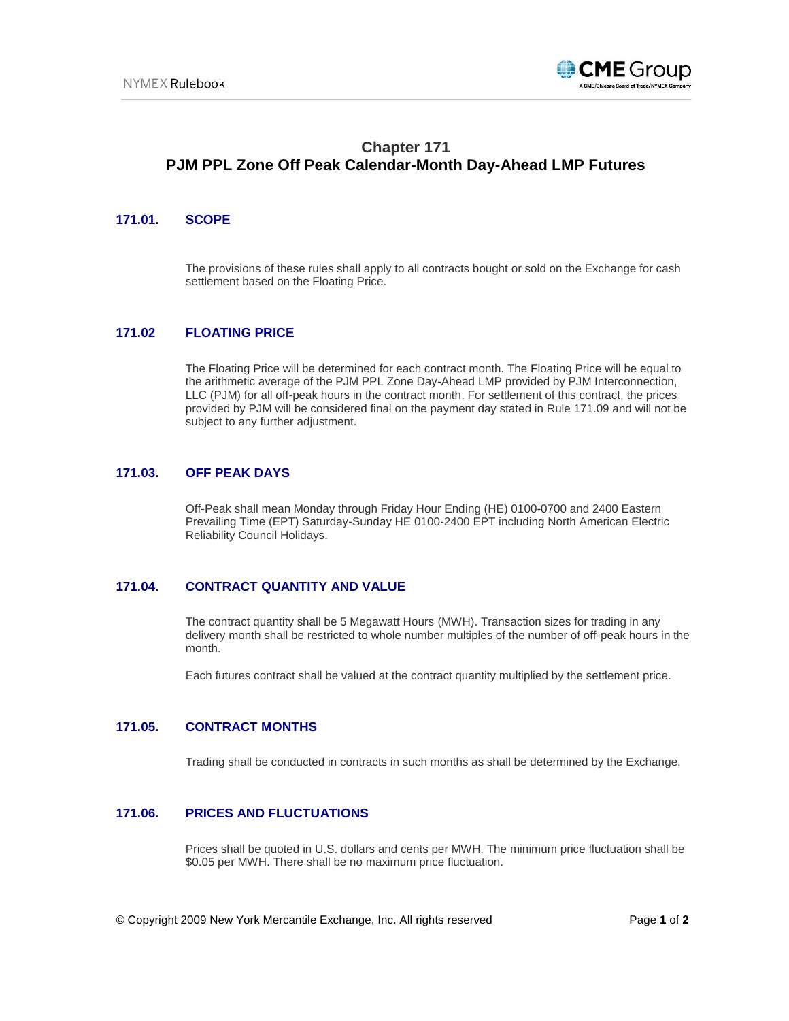

# **Chapter 171 PJM PPL Zone Off Peak Calendar-Month Day-Ahead LMP Futures**

#### **171.01. SCOPE**

The provisions of these rules shall apply to all contracts bought or sold on the Exchange for cash settlement based on the Floating Price.

## **171.02 FLOATING PRICE**

The Floating Price will be determined for each contract month. The Floating Price will be equal to the arithmetic average of the PJM PPL Zone Day-Ahead LMP provided by PJM Interconnection, LLC (PJM) for all off-peak hours in the contract month. For settlement of this contract, the prices provided by PJM will be considered final on the payment day stated in Rule 171.09 and will not be subject to any further adjustment.

#### **171.03. OFF PEAK DAYS**

Off-Peak shall mean Monday through Friday Hour Ending (HE) 0100-0700 and 2400 Eastern Prevailing Time (EPT) Saturday-Sunday HE 0100-2400 EPT including North American Electric Reliability Council Holidays.

## **171.04. CONTRACT QUANTITY AND VALUE**

The contract quantity shall be 5 Megawatt Hours (MWH). Transaction sizes for trading in any delivery month shall be restricted to whole number multiples of the number of off-peak hours in the month.

Each futures contract shall be valued at the contract quantity multiplied by the settlement price.

### **171.05. CONTRACT MONTHS**

Trading shall be conducted in contracts in such months as shall be determined by the Exchange.

#### **171.06. PRICES AND FLUCTUATIONS**

Prices shall be quoted in U.S. dollars and cents per MWH. The minimum price fluctuation shall be \$0.05 per MWH. There shall be no maximum price fluctuation.